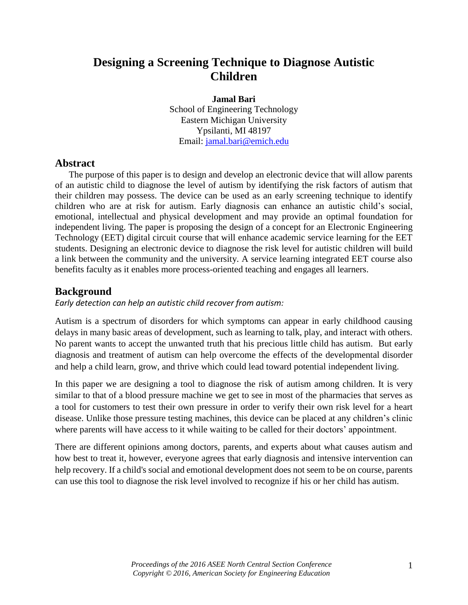# **Designing a Screening Technique to Diagnose Autistic Children**

#### **Jamal Bari**

School of Engineering Technology Eastern Michigan University Ypsilanti, MI 48197 Email: jamal.bari@emich.edu

## **Abstract**

The purpose of this paper is to design and develop an electronic device that will allow parents of an autistic child to diagnose the level of autism by identifying the risk factors of autism that their children may possess. The device can be used as an early screening technique to identify children who are at risk for autism. Early diagnosis can enhance an autistic child's social, emotional, intellectual and physical development and may provide an optimal foundation for independent living. The paper is proposing the design of a concept for an Electronic Engineering Technology (EET) digital circuit course that will enhance academic service learning for the EET students. Designing an electronic device to diagnose the risk level for autistic children will build a link between the community and the university. A service learning integrated EET course also benefits faculty as it enables more process-oriented teaching and engages all learners.

## **Background**

*Early detection can help an autistic child recover from autism:*

Autism is a spectrum of disorders for which symptoms can appear in early childhood causing delays in many basic areas of development, such as learning to talk, play, and interact with others. No parent wants to accept the unwanted truth that his precious little child has autism. But early diagnosis and treatment of autism can help overcome the effects of the developmental disorder and help a child learn, grow, and thrive which could lead toward potential independent living.

In this paper we are designing a tool to diagnose the risk of autism among children. It is very similar to that of a blood pressure machine we get to see in most of the pharmacies that serves as a tool for customers to test their own pressure in order to verify their own risk level for a heart disease. Unlike those pressure testing machines, this device can be placed at any children's clinic where parents will have access to it while waiting to be called for their doctors' appointment.

There are different opinions among doctors, parents, and experts about what causes autism and how best to treat it, however, everyone agrees that early diagnosis and intensive intervention can help recovery. If a child's social and emotional development does not seem to be on course, parents can use this tool to diagnose the risk level involved to recognize if his or her child has autism.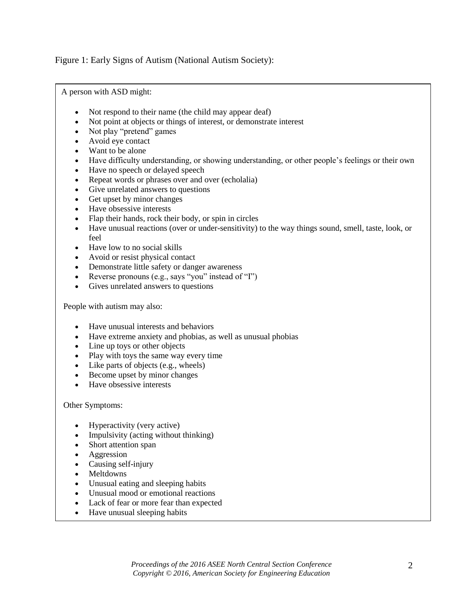Figure 1: Early Signs of Autism (National Autism Society):

A person with ASD might:

- Not respond to their name (the child may appear deaf)
- Not point at objects or things of interest, or demonstrate interest
- Not play "pretend" games
- Avoid eye contact
- Want to be alone
- Have difficulty understanding, or showing understanding, or other people's feelings or their own
- Have no speech or delayed speech
- Repeat words or phrases over and over (echolalia)
- Give unrelated answers to questions
- Get upset by minor changes
- Have obsessive interests
- Flap their hands, rock their body, or spin in circles
- Have unusual reactions (over or under-sensitivity) to the way things sound, smell, taste, look, or feel
- Have low to no social skills
- Avoid or resist physical contact
- Demonstrate little safety or danger awareness
- Reverse pronouns (e.g., says "you" instead of "I")
- Gives unrelated answers to questions

People with autism may also:

- Have unusual interests and behaviors
- Have extreme anxiety and phobias, as well as unusual phobias
- Line up toys or other objects
- Play with toys the same way every time
- Like parts of objects (e.g., wheels)
- Become upset by minor changes
- Have obsessive interests

#### Other Symptoms:

- Hyperactivity (very active)
- Impulsivity (acting without thinking)
- Short attention span
- Aggression
- Causing self-injury
- Meltdowns
- Unusual eating and sleeping habits
- Unusual mood or emotional reactions
- Lack of fear or more fear than expected
- Have unusual sleeping habits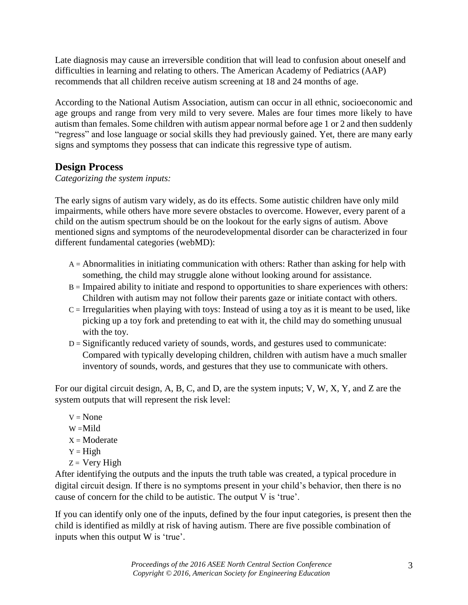Late diagnosis may cause an irreversible condition that will lead to confusion about oneself and difficulties in learning and relating to others. The American Academy of Pediatrics (AAP) recommends that all children receive autism screening at 18 and 24 months of age.

According to the National Autism Association, autism can occur in all ethnic, socioeconomic and age groups and range from very mild to very severe. Males are four times more likely to have autism than females. Some children with autism appear normal before age 1 or 2 and then suddenly "regress" and lose language or social skills they had previously gained. Yet, there are many early signs and symptoms they possess that can indicate this regressive type of autism.

## **Design Process**

*Categorizing the system inputs:*

The early signs of autism vary widely, as do its effects. Some autistic children have only mild impairments, while others have more severe obstacles to overcome. However, every parent of a child on the autism spectrum should be on the lookout for the [early signs of autism.](http://www.webmd.com/children/video/inside-autism-assessment) Above mentioned signs and symptoms of the neurodevelopmental disorder can be characterized in four different fundamental categories (webMD):

- A = Abnormalities in initiating communication with others: Rather than asking for help with something, the child may struggle alone without looking around for assistance.
- B = Impaired ability to initiate and respond to opportunities to share experiences with others: Children with autism may not follow their parents gaze or initiate contact with others.
- $C =$  Irregularities when playing with toys: Instead of using a toy as it is meant to be used, like picking up a toy fork and pretending to eat with it, the child may do something unusual with the toy.
- D = Significantly reduced variety of sounds, words, and gestures used to communicate: Compared with typically developing children, children with autism have a much smaller inventory of sounds, words, and gestures that they use to communicate with others.

For our digital circuit design, A, B, C, and D, are the system inputs; V, W, X, Y, and Z are the system outputs that will represent the risk level:

- $V = None$
- $W =$ Mild
- $X =$ Moderate
- $Y = High$
- $Z = \text{Very High}$

After identifying the outputs and the inputs the truth table was created, a typical procedure in digital circuit design. If there is no symptoms present in your child's behavior, then there is no cause of concern for the child to be autistic. The output V is 'true'.

If you can identify only one of the inputs, defined by the four input categories, is present then the child is identified as mildly at risk of having autism. There are five possible combination of inputs when this output W is 'true'.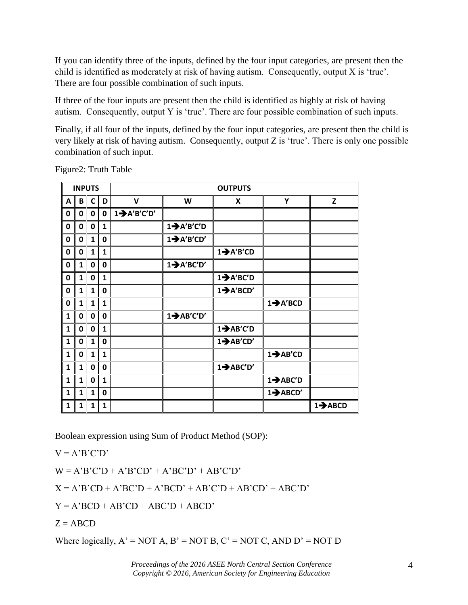If you can identify three of the inputs, defined by the four input categories, are present then the child is identified as moderately at risk of having autism. Consequently, output X is 'true'. There are four possible combination of such inputs.

If three of the four inputs are present then the child is identified as highly at risk of having autism. Consequently, output Y is 'true'. There are four possible combination of such inputs.

Finally, if all four of the inputs, defined by the four input categories, are present then the child is very likely at risk of having autism. Consequently, output Z is 'true'. There is only one possible combination of such input.

| <b>INPUTS</b> |              |              |              | <b>OUTPUTS</b>           |                         |                        |                       |                      |  |
|---------------|--------------|--------------|--------------|--------------------------|-------------------------|------------------------|-----------------------|----------------------|--|
| A             | B            | C            | D            | $\mathbf v$              | W                       | X                      | Υ                     | Z                    |  |
| 0             | 0            | $\mathbf 0$  | 0            | $1 \rightarrow A'B'C'D'$ |                         |                        |                       |                      |  |
| 0             | 0            | 0            | 1            |                          | $1 \rightarrow A'B'C'D$ |                        |                       |                      |  |
| $\mathbf 0$   | 0            | $\mathbf{1}$ | $\mathbf 0$  |                          | $1 \rightarrow A'B'CD'$ |                        |                       |                      |  |
| 0             | 0            | 1            | 1            |                          |                         | $1 \rightarrow A'B'CD$ |                       |                      |  |
| 0             | $\mathbf{1}$ | 0            | 0            |                          | $1 \rightarrow A'BC'D'$ |                        |                       |                      |  |
| 0             | 1            | 0            | $\mathbf{1}$ |                          |                         | $1 \rightarrow A'BC'D$ |                       |                      |  |
| 0             | 1            | 1            | 0            |                          |                         | $1 \rightarrow A'BCD'$ |                       |                      |  |
| 0             | 1            | $\mathbf{1}$ | $\mathbf{1}$ |                          |                         |                        | $1 \rightarrow A'BCD$ |                      |  |
| 1             | 0            | 0            | 0            |                          | $1 \rightarrow AB'C'D'$ |                        |                       |                      |  |
| $\mathbf{1}$  | 0            | 0            | $\mathbf{1}$ |                          |                         | $1 \rightarrow AB'C'D$ |                       |                      |  |
| $\mathbf{1}$  | 0            | $\mathbf{1}$ | 0            |                          |                         | $1 \rightarrow AB'CD'$ |                       |                      |  |
| 1             | 0            | 1            | 1            |                          |                         |                        | $1 \rightarrow AB'CD$ |                      |  |
| 1             | 1            | 0            | 0            |                          |                         | $1 \rightarrow ABC'D'$ |                       |                      |  |
| $\mathbf{1}$  | 1            | 0            | 1            |                          |                         |                        | $1 \rightarrow ABC'D$ |                      |  |
| $\mathbf{1}$  | 1            | $\mathbf{1}$ | 0            |                          |                         |                        | $1 \rightarrow ABCD'$ |                      |  |
| 1             | 1            | $\mathbf{1}$ | $\mathbf{1}$ |                          |                         |                        |                       | $1 \rightarrow ABCD$ |  |

Figure2: Truth Table

Boolean expression using Sum of Product Method (SOP):

 $V = A'B'C'D'$ 

 $W = A'B'C'D + A'B'C'D' + A'B'C'D' + AB'C'D'$ 

 $X = A'B'CD + A'BC'D + A'BCD' + AB'C'D + AB'C'D' + ABC'D'$ 

 $Y = A'BCD + AB'CD + ABC'D + ABCD'$ 

 $Z = ABCD$ 

Where logically,  $A' = NOT A$ ,  $B' = NOT B$ ,  $C' = NOT C$ ,  $AND D' = NOT D$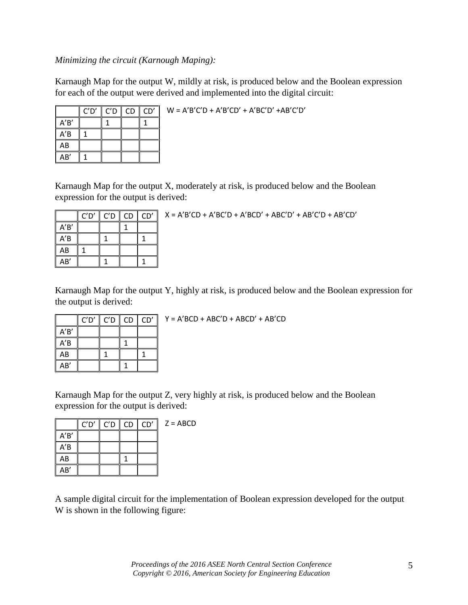### *Minimizing the circuit (Karnough Maping):*

Karnaugh Map for the output W, mildly at risk, is produced below and the Boolean expression for each of the output were derived and implemented into the digital circuit:

|     | C'D' | $\ $ C'D $\ $ CD $\ $ CD' |  | $W = A'B'C'D + A'B'CD' + A'B'C'D' + AB'C'D'$ |
|-----|------|---------------------------|--|----------------------------------------------|
| ′R′ |      |                           |  |                                              |
| A'B |      |                           |  |                                              |
| AB  |      |                           |  |                                              |
| AB' |      |                           |  |                                              |

Karnaugh Map for the output X, moderately at risk, is produced below and the Boolean expression for the output is derived:

|      | C'D' | C'D | CD | CD' |
|------|------|-----|----|-----|
| A'B' |      |     |    |     |
| A'B  |      |     |    |     |
| AB   |      |     |    |     |
| AB'  |      |     |    |     |

 $X = A'B'CD + A'BC'D + A'BCD' + ABC'D' + AB'C'D + AB'C'D$ 

Karnaugh Map for the output Y, highly at risk, is produced below and the Boolean expression for the output is derived:

|      | C'D' | C'D | <b>CD</b> | CD' |
|------|------|-----|-----------|-----|
| A'B' |      |     |           |     |
| A'B  |      |     |           |     |
| AB   |      |     |           |     |
| AB'  |      |     |           |     |

Y = A'BCD + ABC'D + ABCD' + AB'CD

Karnaugh Map for the output Z, very highly at risk, is produced below and the Boolean expression for the output is derived:

|      | C'D' | $C'D$ $CD$ $CD'$ | $Z = ABCD$ |
|------|------|------------------|------------|
| A'B' |      |                  |            |
| A'B  |      |                  |            |
| AB   |      |                  |            |
| AB'  |      |                  |            |

A sample digital circuit for the implementation of Boolean expression developed for the output W is shown in the following figure: